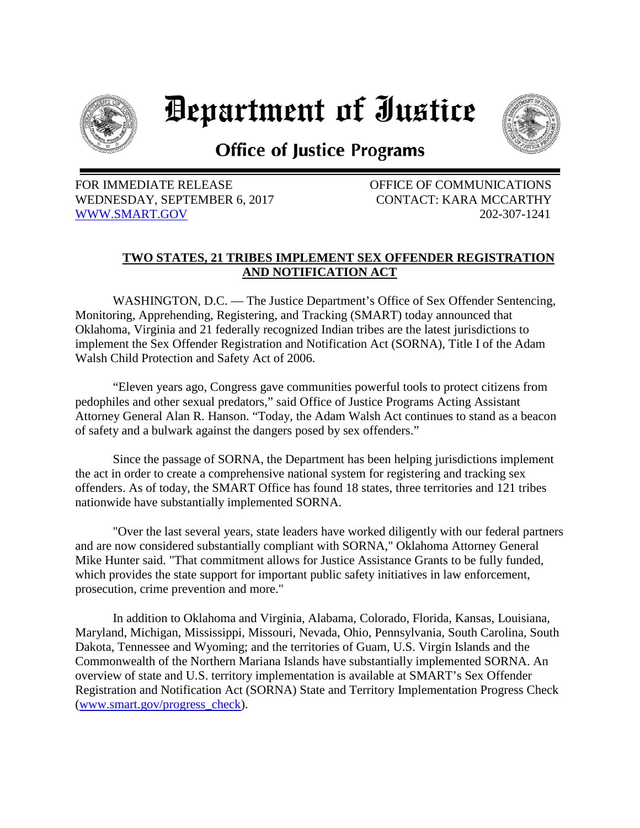

## Department of Iustice



## **Office of Justice Programs**

FOR IMMEDIATE RELEASE **EXECUTE:** OFFICE OF COMMUNICATIONS WEDNESDAY, SEPTEMBER 6, 2017 CONTACT: KARA MCCARTHY [WWW.SMART.GOV](http://www.smart.gov/) 202-307-1241

## **TWO STATES, 21 TRIBES IMPLEMENT SEX OFFENDER REGISTRATION AND NOTIFICATION ACT**

WASHINGTON, D.C. — The Justice Department's Office of Sex Offender Sentencing, Monitoring, Apprehending, Registering, and Tracking (SMART) today announced that Oklahoma, Virginia and 21 federally recognized Indian tribes are the latest jurisdictions to implement the Sex Offender Registration and Notification Act (SORNA), Title I of the Adam Walsh Child Protection and Safety Act of 2006.

"Eleven years ago, Congress gave communities powerful tools to protect citizens from pedophiles and other sexual predators," said Office of Justice Programs Acting Assistant Attorney General Alan R. Hanson. "Today, the Adam Walsh Act continues to stand as a beacon of safety and a bulwark against the dangers posed by sex offenders."

Since the passage of SORNA, the Department has been helping jurisdictions implement the act in order to create a comprehensive national system for registering and tracking sex offenders. As of today, the SMART Office has found 18 states, three territories and 121 tribes nationwide have substantially implemented SORNA.

"Over the last several years, state leaders have worked diligently with our federal partners and are now considered substantially compliant with SORNA," Oklahoma Attorney General Mike Hunter said. "That commitment allows for Justice Assistance Grants to be fully funded, which provides the state support for important public safety initiatives in law enforcement, prosecution, crime prevention and more."

In addition to Oklahoma and Virginia, Alabama, Colorado, Florida, Kansas, Louisiana, Maryland, Michigan, Mississippi, Missouri, Nevada, Ohio, Pennsylvania, South Carolina, South Dakota, Tennessee and Wyoming; and the territories of Guam, U.S. Virgin Islands and the Commonwealth of the Northern Mariana Islands have substantially implemented SORNA. An overview of state and U.S. territory implementation is available at SMART's Sex Offender Registration and Notification Act (SORNA) State and Territory Implementation Progress Check [\(www.smart.gov/progress\\_check\)](http://www.smart.gov/progress_check).